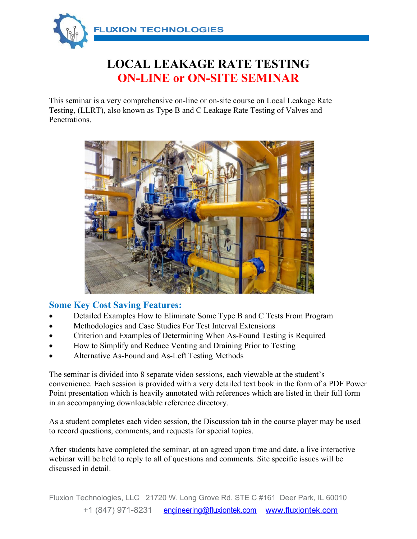

# **LOCAL LEAKAGE RATE TESTING ON-LINE or ON-SITE SEMINAR**

This seminar is a very comprehensive on-line or on-site course on Local Leakage Rate Testing, (LLRT), also known as Type B and C Leakage Rate Testing of Valves and Penetrations.



#### **Some Key Cost Saving Features:**

- Detailed Examples How to Eliminate Some Type B and C Tests From Program
- Methodologies and Case Studies For Test Interval Extensions
- Criterion and Examples of Determining When As-Found Testing is Required
- How to Simplify and Reduce Venting and Draining Prior to Testing
- Alternative As-Found and As-Left Testing Methods

The seminar is divided into 8 separate video sessions, each viewable at the student's convenience. Each session is provided with a very detailed text book in the form of a PDF Power Point presentation which is heavily annotated with references which are listed in their full form in an accompanying downloadable reference directory.

As a student completes each video session, the Discussion tab in the course player may be used to record questions, comments, and requests for special topics.

After students have completed the seminar, at an agreed upon time and date, a live interactive webinar will be held to reply to all of questions and comments. Site specific issues will be discussed in detail.

Fluxion Technologies, LLC 21720 W. Long Grove Rd. STE C #161 Deer Park, IL 60010 +1 (847) 971-8231 engineering@fluxiontek.com www.fluxiontek.com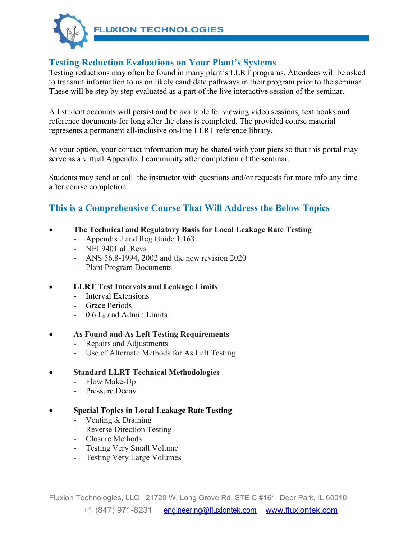

**FLUXION TECHNOLOGIES** 

### **Testing Reduction Evaluations on Your Plant's Systems**

Testing reductions may often be found in many plant's LLRT programs. Attendees will be asked to transmit information to us on likely candidate pathways in their program prior to the seminar. These will be step by step evaluated as a part of the live interactive session of the seminar.

All student accounts will persist and be available for viewing video sessions, text books and reference documents for long after the class is completed. The provided course material represents a permanent all-inclusive on-line LLRT reference library.

At your option, your contact information may be shared with your piers so that this portal may serve as a virtual Appendix J community after completion of the seminar.

Students may send or call the instructor with questions and/or requests for more info any time after course completion.

### **This is a Comprehensive Course That Will Address the Below Topics**

- **The Technical and Regulatory Basis for Local Leakage Rate Testing**
	- Appendix J and Reg Guide 1.163
	- NEI 9401 all Revs
	- ANS 56.8-1994, 2002 and the new revision 2020
	- Plant Program Documents

#### **LLRT Test Intervals and Leakage Limits**

- Interval Extensions
- Grace Periods
- 0.6 La and Admin Limits

#### **As Found and As Left Testing Requirements**

- Repairs and Adjustments
- Use of Alternate Methods for As Left Testing

#### **Standard LLRT Technical Methodologies**

- Flow Make-Up
- Pressure Decay

#### **Special Topics in Local Leakage Rate Testing**

- Venting & Draining
- Reverse Direction Testing
- Closure Methods
- Testing Very Small Volume
- Testing Very Large Volumes